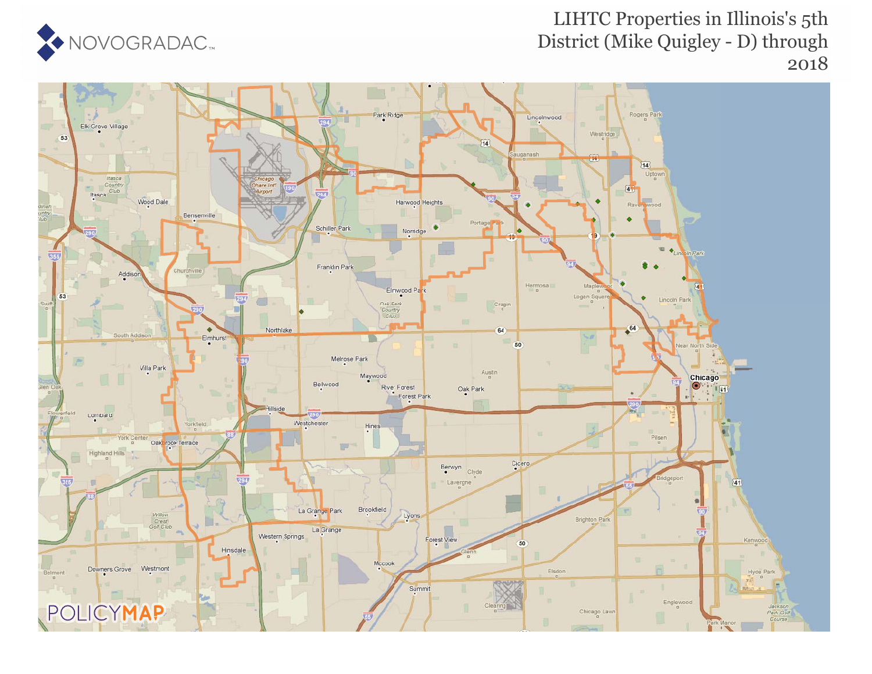

## LIHTC Properties in Illinois's 5th District (Mike Quigley - D) through 2018

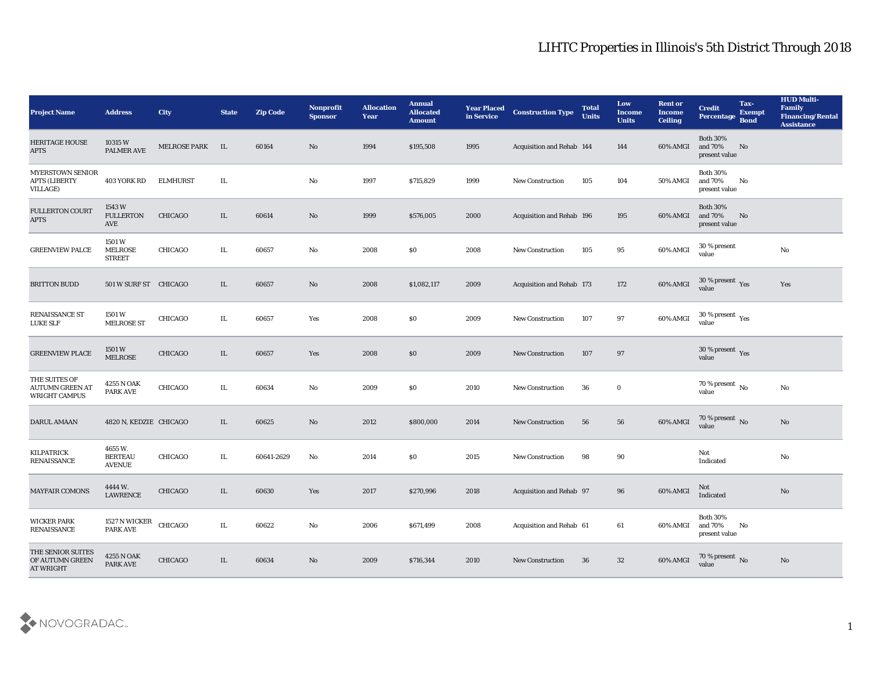## LIHTC Properties in Illinois's 5th District Through 2018

| <b>Project Name</b>                                                | <b>Address</b>                            | <b>City</b>         | <b>State</b> | <b>Zip Code</b> | Nonprofit<br><b>Sponsor</b> | <b>Allocation</b><br>Year | <b>Annual</b><br><b>Allocated</b><br><b>Amount</b> | <b>Year Placed</b><br>in Service | <b>Construction Type</b>         | <b>Total</b><br><b>Units</b> | Low<br><b>Income</b><br><b>Units</b> | <b>Rent or</b><br>Income<br><b>Ceiling</b> | <b>Credit</b><br>Percentage                          | Tax-<br><b>Exempt</b><br><b>Bond</b> | <b>HUD Multi-</b><br>Family<br><b>Financing/Rental</b><br><b>Assistance</b> |
|--------------------------------------------------------------------|-------------------------------------------|---------------------|--------------|-----------------|-----------------------------|---------------------------|----------------------------------------------------|----------------------------------|----------------------------------|------------------------------|--------------------------------------|--------------------------------------------|------------------------------------------------------|--------------------------------------|-----------------------------------------------------------------------------|
| <b>HERITAGE HOUSE</b><br><b>APTS</b>                               | 10315 W<br><b>PALMER AVE</b>              | <b>MELROSE PARK</b> | IL           | 60164           | No                          | 1994                      | \$195,508                                          | 1995                             | Acquisition and Rehab 144        |                              | 144                                  | 60% AMGI                                   | <b>Both 30%</b><br>and 70%<br>present value          | No                                   |                                                                             |
| <b>MYERSTOWN SENIOR</b><br><b>APTS (LIBERTY</b><br><b>VILLAGE)</b> | 403 YORK RD                               | <b>ELMHURST</b>     | IL.          |                 | No                          | 1997                      | \$715,829                                          | 1999                             | <b>New Construction</b>          | 105                          | 104                                  | 50% AMGI                                   | <b>Both 30%</b><br>and 70%<br>present value          | No                                   |                                                                             |
| <b>FULLERTON COURT</b><br><b>APTS</b>                              | 1543 W<br><b>FULLERTON</b><br>AVE         | <b>CHICAGO</b>      | IL           | 60614           | No                          | 1999                      | \$576,005                                          | 2000                             | <b>Acquisition and Rehab 196</b> |                              | 195                                  | 60% AMGI                                   | <b>Both 30%</b><br>and 70%<br>present value          | No                                   |                                                                             |
| <b>GREENVIEW PALCE</b>                                             | 1501W<br><b>MELROSE</b><br><b>STREET</b>  | <b>CHICAGO</b>      | IL.          | 60657           | No                          | 2008                      | \$0\$                                              | 2008                             | <b>New Construction</b>          | 105                          | 95                                   | 60% AMGI                                   | 30 % present<br>value                                |                                      | No                                                                          |
| <b>BRITTON BUDD</b>                                                | 501 W SURF ST CHICAGO                     |                     | IL           | 60657           | No                          | 2008                      | \$1,082,117                                        | 2009                             | Acquisition and Rehab 173        |                              | 172                                  | 60% AMGI                                   | $30\,\%$ present $\,$ Yes value                      |                                      | Yes                                                                         |
| <b>RENAISSANCE ST</b><br><b>LUKE SLF</b>                           | 1501 W<br><b>MELROSE ST</b>               | <b>CHICAGO</b>      | IL.          | 60657           | Yes                         | 2008                      | \$0\$                                              | 2009                             | <b>New Construction</b>          | 107                          | 97                                   | 60% AMGI                                   | 30 % present $\rm\thinspace\gamma_{\rm es}$<br>value |                                      |                                                                             |
| <b>GREENVIEW PLACE</b>                                             | 1501 W<br><b>MELROSE</b>                  | <b>CHICAGO</b>      | IL           | 60657           | Yes                         | 2008                      | $\$0$                                              | 2009                             | <b>New Construction</b>          | 107                          | 97                                   |                                            | 30 % present $_{\rm Yes}$<br>value                   |                                      |                                                                             |
| THE SUITES OF<br><b>AUTUMN GREEN AT</b><br>WRIGHT CAMPUS           | 4255 N OAK<br><b>PARK AVE</b>             | CHICAGO             | IL.          | 60634           | No                          | 2009                      | \$0                                                | 2010                             | <b>New Construction</b>          | 36                           | $\bf{0}$                             |                                            | 70 % present $\,$ No $\,$<br>value                   |                                      | No                                                                          |
| DARUL AMAAN                                                        | 4820 N, KEDZIE CHICAGO                    |                     | IL           | 60625           | No                          | 2012                      | \$800,000                                          | 2014                             | <b>New Construction</b>          | 56                           | 56                                   | 60% AMGI                                   | $70\,\%$ present $\,$ No value                       |                                      | No                                                                          |
| <b>KILPATRICK</b><br><b>RENAISSANCE</b>                            | 4655W.<br><b>BERTEAU</b><br><b>AVENUE</b> | <b>CHICAGO</b>      | IL.          | 60641-2629      | No                          | 2014                      | \$0\$                                              | 2015                             | <b>New Construction</b>          | 98                           | 90                                   |                                            | Not<br>Indicated                                     |                                      | No                                                                          |
| <b>MAYFAIR COMONS</b>                                              | 4444 W.<br><b>LAWRENCE</b>                | <b>CHICAGO</b>      | IL.          | 60630           | Yes                         | 2017                      | \$270,996                                          | 2018                             | <b>Acquisition and Rehab 97</b>  |                              | 96                                   | 60% AMGI                                   | Not<br>Indicated                                     |                                      | No                                                                          |
| <b>WICKER PARK</b><br><b>RENAISSANCE</b>                           | 1527 N WICKER CHICAGO<br><b>PARK AVE</b>  |                     | IL.          | 60622           | $\mathbf{N}\mathbf{o}$      | 2006                      | \$671,499                                          | 2008                             | Acquisition and Rehab 61         |                              | 61                                   | 60% AMGI                                   | <b>Both 30%</b><br>and $70\%$<br>present value       | $\mathbf{N}\mathbf{o}$               |                                                                             |
| THE SENIOR SUITES<br>OF AUTUMN GREEN<br><b>AT WRIGHT</b>           | 4255 N OAK<br><b>PARK AVE</b>             | CHICAGO             | $\rm IL$     | 60634           | $\mathbf{N}\mathbf{o}$      | 2009                      | \$716,344                                          | 2010                             | <b>New Construction</b>          | 36                           | 32                                   | 60% AMGI                                   | $70\,\%$ present $\,$ No value                       |                                      | $\rm\thinspace No$                                                          |

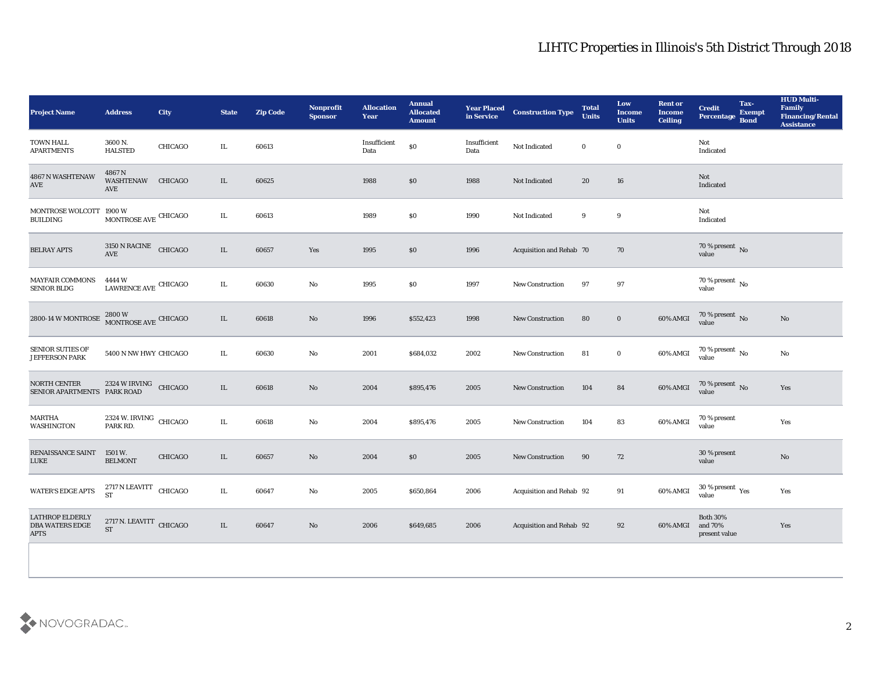## LIHTC Properties in Illinois's 5th District Through 2018

| <b>Project Name</b>                                             | <b>Address</b>                       | City           | <b>State</b> | <b>Zip Code</b> | <b>Nonprofit</b><br><b>Sponsor</b> | <b>Allocation</b><br>Year | <b>Annual</b><br><b>Allocated</b><br><b>Amount</b> | <b>Year Placed<br/>in Service</b> | <b>Construction Type</b> | <b>Total</b><br><b>Units</b> | Low<br><b>Income</b><br><b>Units</b> | <b>Rent or</b><br><b>Income</b><br><b>Ceiling</b> | Tax-<br><b>Credit</b><br><b>Exempt</b><br>Percentage Bond | <b>HUD Multi-</b><br>Family<br><b>Financing/Rental</b><br><b>Assistance</b> |
|-----------------------------------------------------------------|--------------------------------------|----------------|--------------|-----------------|------------------------------------|---------------------------|----------------------------------------------------|-----------------------------------|--------------------------|------------------------------|--------------------------------------|---------------------------------------------------|-----------------------------------------------------------|-----------------------------------------------------------------------------|
| <b>TOWN HALL</b><br><b>APARTMENTS</b>                           | 3600 N.<br><b>HALSTED</b>            | <b>CHICAGO</b> | IL           | 60613           |                                    | Insufficient<br>Data      | $\$0$                                              | Insufficient<br>Data              | Not Indicated            | $\mathbf{0}$                 | $\bf{0}$                             |                                                   | Not<br>Indicated                                          |                                                                             |
| 4867 N WASHTENAW<br>AVE                                         | 4867N<br><b>WASHTENAW</b><br>AVE     | <b>CHICAGO</b> | IL           | 60625           |                                    | 1988                      | $\$0$                                              | 1988                              | Not Indicated            | 20                           | 16                                   |                                                   | Not<br>Indicated                                          |                                                                             |
| MONTROSE WOLCOTT 1900 W<br><b>BUILDING</b>                      | $\,$ MONTROSE AVE $\,$ CHICAGO $\,$  |                | IL           | 60613           |                                    | 1989                      | $\$0$                                              | 1990                              | Not Indicated            | 9                            | 9                                    |                                                   | Not<br>Indicated                                          |                                                                             |
| <b>BELRAY APTS</b>                                              | 3150 N RACINE CHICAGO<br><b>AVE</b>  |                | $\rm IL$     | 60657           | Yes                                | 1995                      | $\$0$                                              | 1996                              | Acquisition and Rehab 70 |                              | 70                                   |                                                   | 70 % present No<br>value                                  |                                                                             |
| <b>MAYFAIR COMMONS</b><br><b>SENIOR BLDG</b>                    | 4444 W<br>LAWRENCE AVE CHICAGO       |                | IL           | 60630           | No                                 | 1995                      | \$0                                                | 1997                              | New Construction         | 97                           | 97                                   |                                                   | $70\,\%$ present $\,$ No value                            |                                                                             |
| 2800-14 W MONTROSE                                              | $2800\,\rm{W}$ MONTROSE AVE CHICAGO  |                | $\rm IL$     | 60618           | $\rm\thinspace No$                 | 1996                      | \$552,423                                          | 1998                              | <b>New Construction</b>  | 80                           | $\bf{0}$                             | $60\%$ AMGI                                       | $70\,\%$ present $\,$ No value                            | No                                                                          |
| <b>SENIOR SUTIES OF</b><br><b>JEFFERSON PARK</b>                | 5400 N NW HWY CHICAGO                |                | $\rm IL$     | 60630           | $\mathbf{N}\mathbf{o}$             | 2001                      | \$684,032                                          | 2002                              | <b>New Construction</b>  | 81                           | $\bf{0}$                             | 60% AMGI                                          | $70\,\%$ present $\,$ No value                            | No                                                                          |
| NORTH CENTER<br>SENIOR APARTMENTS PARK ROAD                     | 2324 W IRVING CHICAGO                |                | $\rm IL$     | 60618           | No                                 | 2004                      | \$895,476                                          | 2005                              | New Construction         | 104                          | 84                                   | 60% AMGI                                          | $70\,\%$ present $\,$ No value                            | Yes                                                                         |
| MARTHA<br><b>WASHINGTON</b>                                     | 2324 W. IRVING CHICAGO<br>PARK RD.   |                | $\rm IL$     | 60618           | No                                 | 2004                      | \$895,476                                          | 2005                              | New Construction         | 104                          | 83                                   | 60% AMGI                                          | 70 % present<br>value                                     | Yes                                                                         |
| RENAISSANCE SAINT<br><b>LUKE</b>                                | 1501 W.<br><b>BELMONT</b>            | <b>CHICAGO</b> | $\rm IL$     | 60657           | No                                 | 2004                      | $\$0$                                              | 2005                              | New Construction         | 90                           | 72                                   |                                                   | 30 % present<br>value                                     | $\mathbf{N}\mathbf{o}$                                                      |
| <b>WATER'S EDGE APTS</b>                                        | 2717 N LEAVITT CHICAGO<br>ST         |                | $\rm IL$     | 60647           | No                                 | 2005                      | \$650,864                                          | 2006                              | Acquisition and Rehab 92 |                              | 91                                   | 60% AMGI                                          | $30\,\%$ present $\,$ Yes value                           | Yes                                                                         |
| <b>LATHROP ELDERLY</b><br><b>DBA WATERS EDGE</b><br><b>APTS</b> | 2717 N. LEAVITT CHICAGO<br><b>ST</b> |                | IL           | 60647           | No                                 | 2006                      | \$649,685                                          | 2006                              | Acquisition and Rehab 92 |                              | 92                                   | 60% AMGI                                          | <b>Both 30%</b><br>and 70%<br>present value               | Yes                                                                         |